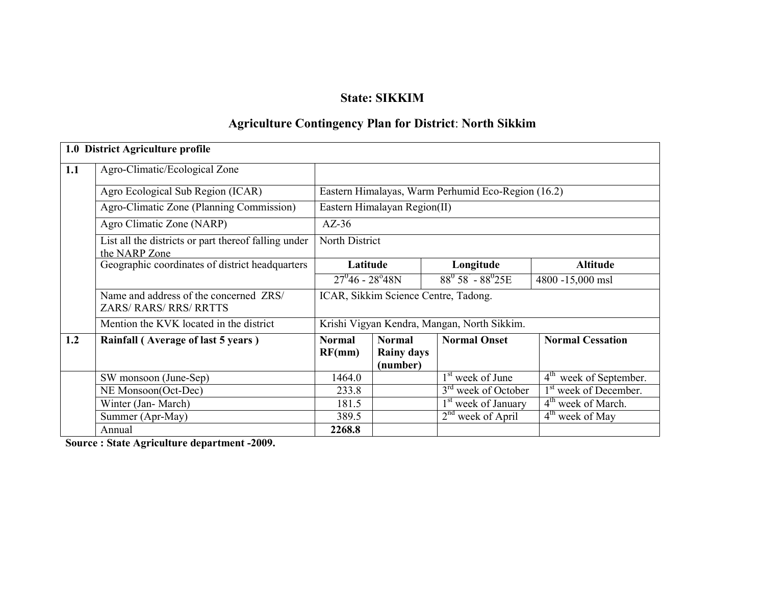# State: SIKKIM

# Agriculture Contingency Plan for District: North Sikkim

|     | 1.0 District Agriculture profile                                        |                              |                                                |                                                    |                                       |  |
|-----|-------------------------------------------------------------------------|------------------------------|------------------------------------------------|----------------------------------------------------|---------------------------------------|--|
| 1.1 | Agro-Climatic/Ecological Zone                                           |                              |                                                |                                                    |                                       |  |
|     | Agro Ecological Sub Region (ICAR)                                       |                              |                                                | Eastern Himalayas, Warm Perhumid Eco-Region (16.2) |                                       |  |
|     | Agro-Climatic Zone (Planning Commission)                                | Eastern Himalayan Region(II) |                                                |                                                    |                                       |  |
|     | Agro Climatic Zone (NARP)                                               | $AZ-36$                      |                                                |                                                    |                                       |  |
|     | List all the districts or part thereof falling under<br>the NARP Zone   | North District               |                                                |                                                    |                                       |  |
|     | Geographic coordinates of district headquarters                         | Latitude                     |                                                | Longitude                                          | <b>Altitude</b>                       |  |
|     |                                                                         | $27^{0}46 - 28^{0}48N$       |                                                | $88^0$ 58 <sup>'</sup> - $88^0$ 25E                | 4800 -15,000 msl                      |  |
|     | Name and address of the concerned ZRS/<br><b>ZARS/ RARS/ RRS/ RRTTS</b> |                              |                                                | ICAR, Sikkim Science Centre, Tadong.               |                                       |  |
|     | Mention the KVK located in the district                                 |                              |                                                | Krishi Vigyan Kendra, Mangan, North Sikkim.        |                                       |  |
| 1.2 | Rainfall (Average of last 5 years)                                      | <b>Normal</b><br>RF(mm)      | <b>Normal</b><br><b>Rainy days</b><br>(number) | <b>Normal Onset</b>                                | <b>Normal Cessation</b>               |  |
|     | SW monsoon (June-Sep)                                                   | 1464.0                       |                                                | 1 <sup>st</sup> week of June                       | $4^{\text{th}}$<br>week of September. |  |
|     | NE Monsoon(Oct-Dec)                                                     | 233.8                        |                                                | 3 <sup>rd</sup> week of October                    | 1 <sup>st</sup> week of December.     |  |
|     | Winter (Jan-March)                                                      | 181.5                        |                                                | 1 <sup>st</sup> week of January                    | 4 <sup>th</sup> week of March.        |  |
|     | Summer (Apr-May)                                                        | 389.5                        |                                                | $2nd$ week of April                                | 4 <sup>th</sup> week of May           |  |
|     | Annual                                                                  | 2268.8                       |                                                |                                                    |                                       |  |

Source : State Agriculture department -2009.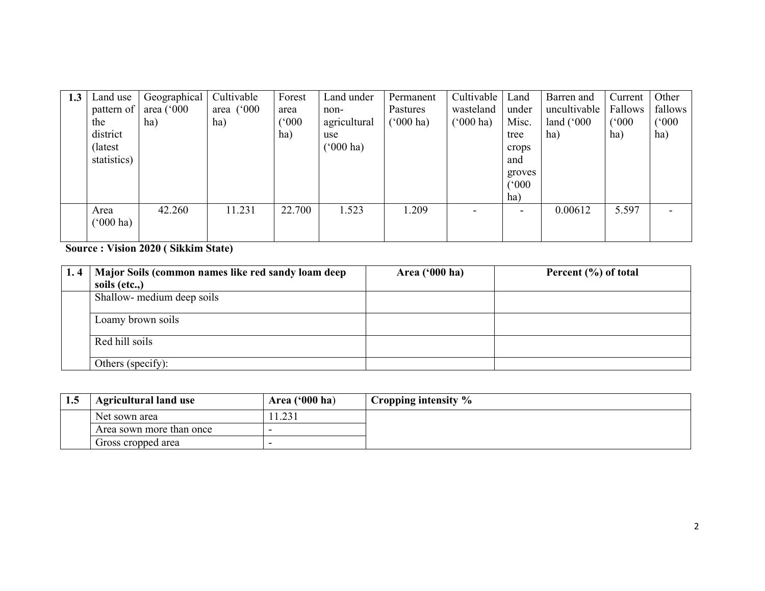| 1.3 | Land use<br>pattern of<br>the<br>district<br>(latest)<br>statistics) | Geographical<br>area $(^{\circ}000$<br>ha) | Cultivable<br>area $(^{\circ}000$<br>ha) | Forest<br>area<br>(000)<br>ha) | Land under<br>non-<br>agricultural<br>use<br>$(^{o}000 \text{ ha})$ | Permanent<br>Pastures<br>$(^{6}000 \text{ ha})$ | Cultivable<br>wasteland<br>$(^{6}000 \text{ ha})$ | Land<br>under<br>Misc.<br>tree<br>crops<br>and<br>groves<br>(°000) | Barren and<br>uncultivable<br>land $(^{\circ}000$<br>ha) | Current<br>Fallows<br>(500)<br>ha) | Other<br>fallows<br>(000)<br>ha) |
|-----|----------------------------------------------------------------------|--------------------------------------------|------------------------------------------|--------------------------------|---------------------------------------------------------------------|-------------------------------------------------|---------------------------------------------------|--------------------------------------------------------------------|----------------------------------------------------------|------------------------------------|----------------------------------|
|     |                                                                      |                                            |                                          |                                |                                                                     |                                                 |                                                   | ha)                                                                |                                                          |                                    |                                  |
|     | Area<br>$(000 \text{ ha})$                                           | 42.260                                     | 11.231                                   | 22.700                         | 1.523                                                               | 1.209                                           |                                                   | $\overline{\phantom{0}}$                                           | 0.00612                                                  | 5.597                              | $\qquad \qquad \blacksquare$     |

# Source : Vision 2020 ( Sikkim State)

| 1.4 | Major Soils (common names like red sandy loam deep | Area $(900 \text{ ha})$ | Percent $(\% )$ of total |
|-----|----------------------------------------------------|-------------------------|--------------------------|
|     | soils (etc.,)                                      |                         |                          |
|     | Shallow- medium deep soils                         |                         |                          |
|     | Loamy brown soils                                  |                         |                          |
|     | Red hill soils                                     |                         |                          |
|     | Others (specify):                                  |                         |                          |

| <b>1.0</b> | <b>Agricultural land use</b> | Area $('000 ha)$ | <sup>1</sup> Cropping intensity % |
|------------|------------------------------|------------------|-----------------------------------|
|            | Net sown area                | 11.231           |                                   |
|            | Area sown more than once     |                  |                                   |
|            | Gross cropped area           |                  |                                   |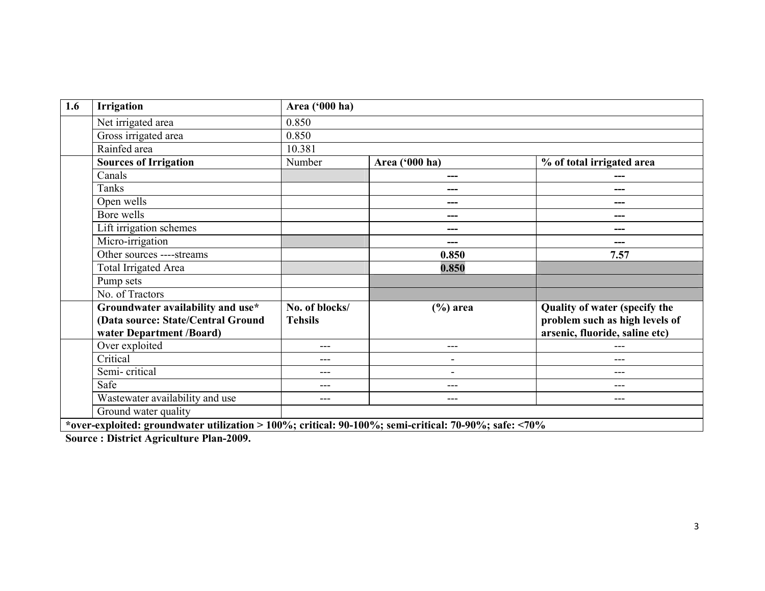| 1.6 | <b>Irrigation</b>                                                                                     | Area ('000 ha)                   |                          |                                                                                                          |
|-----|-------------------------------------------------------------------------------------------------------|----------------------------------|--------------------------|----------------------------------------------------------------------------------------------------------|
|     | Net irrigated area                                                                                    | 0.850                            |                          |                                                                                                          |
|     | Gross irrigated area                                                                                  | 0.850                            |                          |                                                                                                          |
|     | Rainfed area                                                                                          | 10.381                           |                          |                                                                                                          |
|     | <b>Sources of Irrigation</b>                                                                          | Number                           | Area ('000 ha)           | % of total irrigated area                                                                                |
|     | Canals                                                                                                |                                  |                          |                                                                                                          |
|     | Tanks                                                                                                 |                                  | ---                      |                                                                                                          |
|     | Open wells                                                                                            |                                  | ---                      |                                                                                                          |
|     | Bore wells                                                                                            |                                  | ---                      | ---                                                                                                      |
|     | Lift irrigation schemes                                                                               |                                  | ---                      | ---                                                                                                      |
|     | Micro-irrigation                                                                                      |                                  | ---                      | ---                                                                                                      |
|     | Other sources ----streams                                                                             |                                  | 0.850                    | 7.57                                                                                                     |
|     | Total Irrigated Area                                                                                  |                                  | 0.850                    |                                                                                                          |
|     | Pump sets                                                                                             |                                  |                          |                                                                                                          |
|     | No. of Tractors                                                                                       |                                  |                          |                                                                                                          |
|     | Groundwater availability and use*<br>(Data source: State/Central Ground<br>water Department /Board)   | No. of blocks/<br><b>Tehsils</b> | $(\% )$ area             | <b>Quality of water (specify the</b><br>problem such as high levels of<br>arsenic, fluoride, saline etc) |
|     | Over exploited                                                                                        | ---                              | ---                      |                                                                                                          |
|     | Critical                                                                                              | ---                              | $\overline{\phantom{0}}$ | ---                                                                                                      |
|     | Semi-critical                                                                                         | ---                              | $\overline{\phantom{a}}$ | ---                                                                                                      |
|     | Safe                                                                                                  | $- - -$                          | ---                      | ---                                                                                                      |
|     | Wastewater availability and use                                                                       | $---$                            | $---$                    | $---$                                                                                                    |
|     | Ground water quality                                                                                  |                                  |                          |                                                                                                          |
|     | *over-exploited: groundwater utilization > 100%; critical: 90-100%; semi-critical: 70-90%; safe: <70% |                                  |                          |                                                                                                          |

Source : District Agriculture Plan-2009.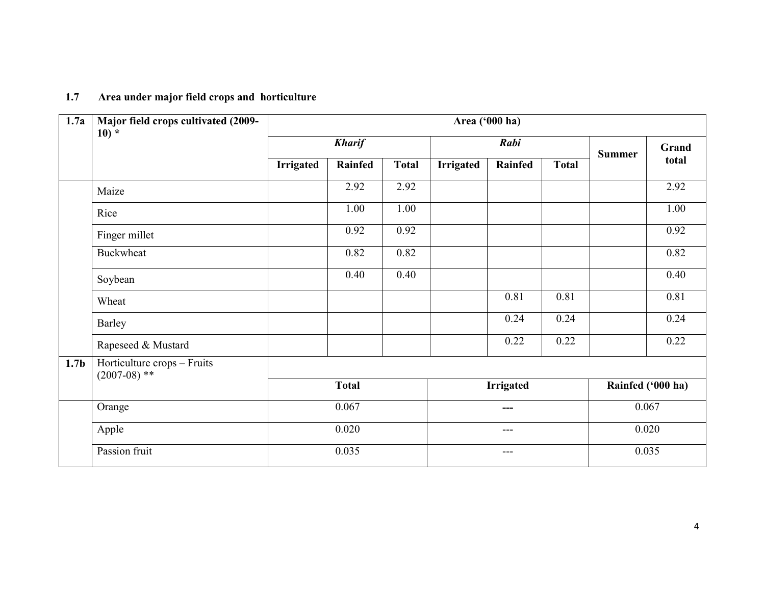| 1.7<br>Area under major field crops and horticulture |
|------------------------------------------------------|
|------------------------------------------------------|

| 1.7a             | Major field crops cultivated (2009-<br>$10)*$ | Area ('000 ha) |               |              |                  |                  |              |                   |       |
|------------------|-----------------------------------------------|----------------|---------------|--------------|------------------|------------------|--------------|-------------------|-------|
|                  |                                               |                | <b>Kharif</b> |              | Rabi             |                  |              | <b>Summer</b>     | Grand |
|                  |                                               | Irrigated      | Rainfed       | <b>Total</b> | <b>Irrigated</b> | Rainfed          | <b>Total</b> |                   | total |
|                  | Maize                                         |                | 2.92          | 2.92         |                  |                  |              |                   | 2.92  |
|                  | Rice                                          |                | 1.00          | 1.00         |                  |                  |              |                   | 1.00  |
|                  | Finger millet                                 |                | 0.92          | 0.92         |                  |                  |              |                   | 0.92  |
|                  | <b>Buckwheat</b>                              |                | 0.82          | 0.82         |                  |                  |              |                   | 0.82  |
|                  | Soybean                                       |                | 0.40          | 0.40         |                  |                  |              |                   | 0.40  |
|                  | Wheat                                         |                |               |              |                  | 0.81             | 0.81         |                   | 0.81  |
|                  | Barley                                        |                |               |              |                  | 0.24             | 0.24         |                   | 0.24  |
|                  | Rapeseed & Mustard                            |                |               |              |                  | 0.22             | 0.22         |                   | 0.22  |
| 1.7 <sub>b</sub> | Horticulture crops - Fruits<br>$(2007-08)$ ** |                |               |              |                  |                  |              |                   |       |
|                  |                                               |                | <b>Total</b>  |              |                  | <b>Irrigated</b> |              | Rainfed ('000 ha) |       |
|                  | Orange                                        |                | 0.067         |              |                  | ---              |              | 0.067             |       |
|                  | Apple                                         |                | 0.020         |              |                  | $---$            |              | 0.020             |       |
|                  | Passion fruit                                 |                | 0.035         |              | $--$             |                  |              | 0.035             |       |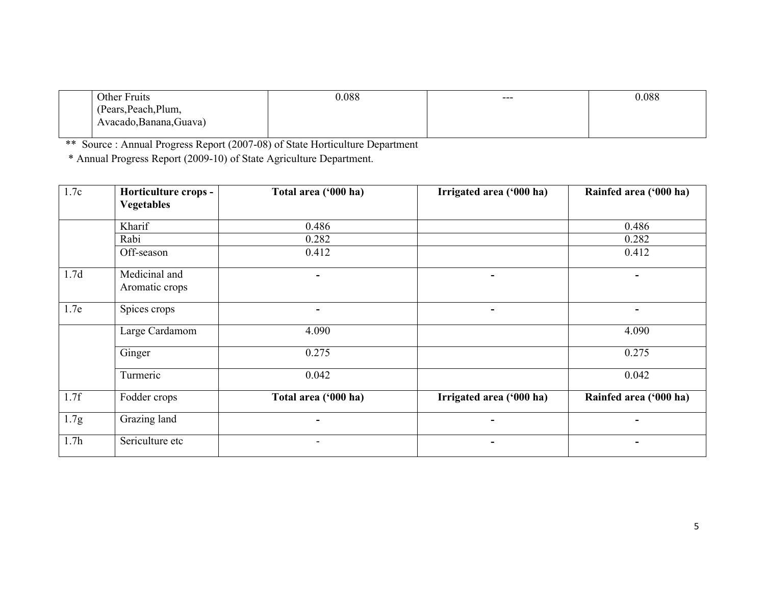| Other Fruits            | 0.088 | $---$ | 0.088 |
|-------------------------|-------|-------|-------|
| (Pears, Peach, Plum,    |       |       |       |
| Avacado, Banana, Guava) |       |       |       |
|                         |       |       |       |

\*\* Source : Annual Progress Report (2007-08) of State Horticulture Department \* Annual Progress Report (2009-10) of State Agriculture Department.

| 1.7c             | Horticulture crops -            | Total area ('000 ha) | Irrigated area ('000 ha) | Rainfed area ('000 ha) |
|------------------|---------------------------------|----------------------|--------------------------|------------------------|
|                  | <b>Vegetables</b>               |                      |                          |                        |
|                  | Kharif                          | 0.486                |                          | 0.486                  |
|                  | Rabi                            | 0.282                |                          | 0.282                  |
|                  | Off-season                      | 0.412                |                          | 0.412                  |
| 1.7d             | Medicinal and<br>Aromatic crops |                      |                          |                        |
| 1.7e             | Spices crops                    | ٠                    | $\blacksquare$           | $\blacksquare$         |
|                  | Large Cardamom                  | 4.090                |                          | 4.090                  |
|                  | Ginger                          | 0.275                |                          | 0.275                  |
|                  | Turmeric                        | 0.042                |                          | 0.042                  |
| 1.7f             | Fodder crops                    | Total area ('000 ha) | Irrigated area ('000 ha) | Rainfed area ('000 ha) |
| 1.7g             | Grazing land                    |                      |                          |                        |
| 1.7 <sub>h</sub> | Sericulture etc                 |                      |                          |                        |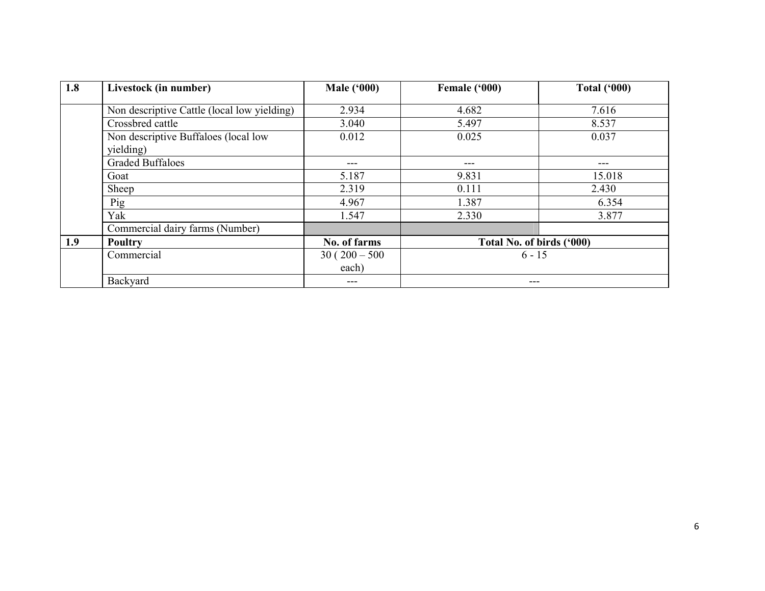| 1.8 | Livestock (in number)                             | <b>Male ('000)</b> | Female ('000)             | <b>Total ('000)</b> |
|-----|---------------------------------------------------|--------------------|---------------------------|---------------------|
|     | Non descriptive Cattle (local low yielding)       | 2.934              | 4.682                     | 7.616               |
|     | Crossbred cattle                                  | 3.040              | 5.497                     | 8.537               |
|     | Non descriptive Buffaloes (local low<br>yielding) | 0.012              | 0.025                     | 0.037               |
|     | <b>Graded Buffaloes</b>                           | $---$              | ---                       | $---$               |
|     | Goat                                              | 5.187              | 9.831                     | 15.018              |
|     | Sheep                                             | 2.319              | 0.111                     | 2.430               |
|     | Pig                                               | 4.967              | 1.387                     | 6.354               |
|     | Yak                                               | 1.547              | 2.330                     | 3.877               |
|     | Commercial dairy farms (Number)                   |                    |                           |                     |
| 1.9 | <b>Poultry</b>                                    | No. of farms       | Total No. of birds ('000) |                     |
|     | Commercial                                        | $30(200-500)$      | $6 - 15$                  |                     |
|     |                                                   | each)              |                           |                     |
|     | Backyard                                          |                    | ---                       |                     |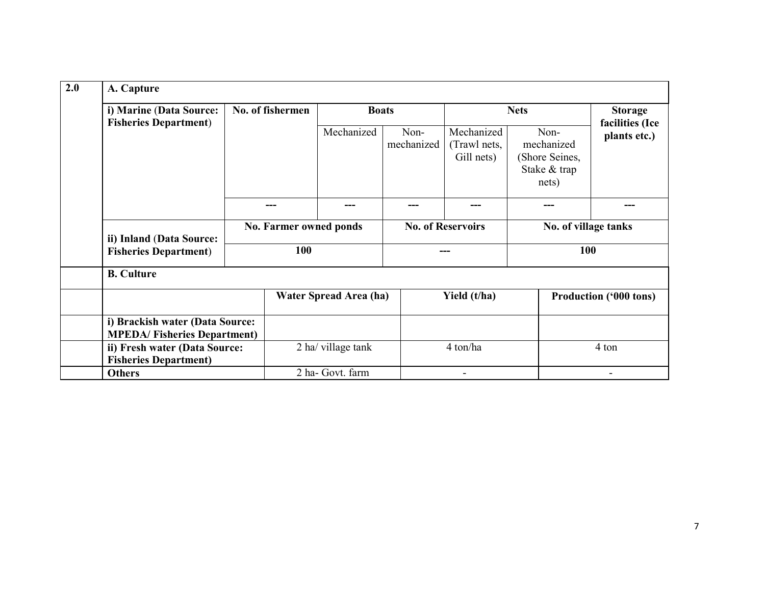| 2.0 | A. Capture                                                            |                               |                  |                        |                    |                                          |                                                               |                                 |
|-----|-----------------------------------------------------------------------|-------------------------------|------------------|------------------------|--------------------|------------------------------------------|---------------------------------------------------------------|---------------------------------|
|     | i) Marine (Data Source:<br><b>Fisheries Department</b> )              |                               | No. of fishermen |                        | <b>Boats</b>       |                                          | <b>Nets</b>                                                   |                                 |
|     |                                                                       |                               |                  | Mechanized             | Non-<br>mechanized | Mechanized<br>(Trawl nets,<br>Gill nets) | Non-<br>mechanized<br>(Shore Seines,<br>Stake & trap<br>nets) | facilities (Ice<br>plants etc.) |
|     |                                                                       |                               |                  |                        |                    |                                          |                                                               |                                 |
|     | ii) Inland (Data Source:                                              | No. Farmer owned ponds<br>100 |                  |                        |                    | <b>No. of Reservoirs</b>                 |                                                               | No. of village tanks<br>100     |
|     | <b>Fisheries Department)</b>                                          |                               |                  |                        |                    |                                          |                                                               |                                 |
|     | <b>B.</b> Culture                                                     |                               |                  |                        |                    |                                          |                                                               |                                 |
|     |                                                                       |                               |                  | Water Spread Area (ha) |                    | Yield (t/ha)                             |                                                               | <b>Production ('000 tons)</b>   |
|     | i) Brackish water (Data Source:<br><b>MPEDA/Fisheries Department)</b> |                               |                  |                        |                    |                                          |                                                               |                                 |
|     | ii) Fresh water (Data Source:<br><b>Fisheries Department)</b>         |                               |                  | 2 ha/ village tank     |                    | 4 ton/ha                                 |                                                               | 4 ton                           |
|     | <b>Others</b>                                                         |                               |                  | 2 ha- Govt. farm       |                    |                                          |                                                               |                                 |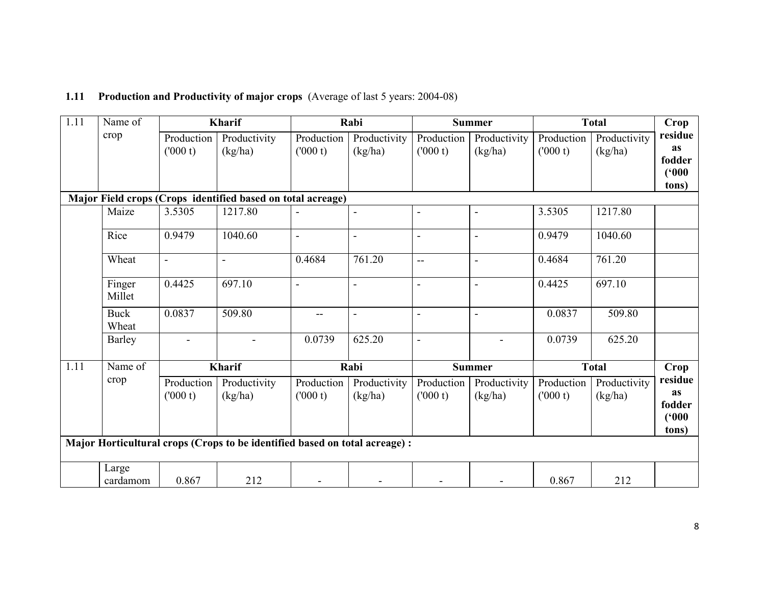| 1.11 | Name of              |                        | Kharif                                                                      |                       | Rabi                     |                          | <b>Summer</b>           |                       | <b>Total</b>            | Crop                                      |
|------|----------------------|------------------------|-----------------------------------------------------------------------------|-----------------------|--------------------------|--------------------------|-------------------------|-----------------------|-------------------------|-------------------------------------------|
|      | crop                 | Production<br>(000 t)  | Productivity<br>(kg/ha)                                                     | Production<br>(000 t) | Productivity<br>(kg/ha)  | Production<br>(000 t)    | Productivity<br>(kg/ha) | Production<br>(000 t) | Productivity<br>(kg/ha) | residue<br><b>as</b><br>fodder            |
|      |                      |                        |                                                                             |                       |                          |                          |                         |                       |                         | (500)<br>tons)                            |
|      |                      |                        | Major Field crops (Crops identified based on total acreage)                 |                       |                          |                          |                         |                       |                         |                                           |
|      | Maize                | 3.5305                 | 1217.80                                                                     |                       |                          | $\blacksquare$           | $\blacksquare$          | 3.5305                | 1217.80                 |                                           |
|      | Rice                 | 0.9479                 | 1040.60                                                                     | $\blacksquare$        | $\blacksquare$           | $\blacksquare$           | $\blacksquare$          | 0.9479                | 1040.60                 |                                           |
|      | Wheat                | $\blacksquare$         | $\overline{a}$                                                              | 0.4684                | 761.20                   | $\overline{a}$           |                         | 0.4684                | 761.20                  |                                           |
|      | Finger<br>Millet     | 0.4425                 | 697.10                                                                      | $\blacksquare$        | $\blacksquare$           | L,                       |                         | 0.4425                | 697.10                  |                                           |
|      | <b>Buck</b><br>Wheat | 0.0837                 | 509.80                                                                      |                       | $\overline{\phantom{a}}$ | $\overline{\phantom{a}}$ |                         | 0.0837                | 509.80                  |                                           |
|      | Barley               |                        |                                                                             | 0.0739                | 625.20                   | $\overline{\phantom{a}}$ |                         | 0.0739                | 625.20                  |                                           |
| 1.11 | Name of              |                        | <b>Kharif</b>                                                               |                       | Rabi                     |                          | <b>Summer</b>           |                       | <b>Total</b>            | Crop                                      |
|      | crop                 | Production<br>(1000 t) | Productivity<br>(kg/ha)                                                     | Production<br>(000 t) | Productivity<br>(kg/ha)  | Production<br>(000 t)    | Productivity<br>(kg/ha) | Production<br>(000 t) | Productivity<br>(kg/ha) | residue<br>as<br>fodder<br>(500)<br>tons) |
|      |                      |                        | Major Horticultural crops (Crops to be identified based on total acreage) : |                       |                          |                          |                         |                       |                         |                                           |
|      | Large<br>cardamom    | 0.867                  | 212                                                                         |                       |                          |                          |                         | 0.867                 | 212                     |                                           |

## 1.11 Production and Productivity of major crops (Average of last 5 years: 2004-08)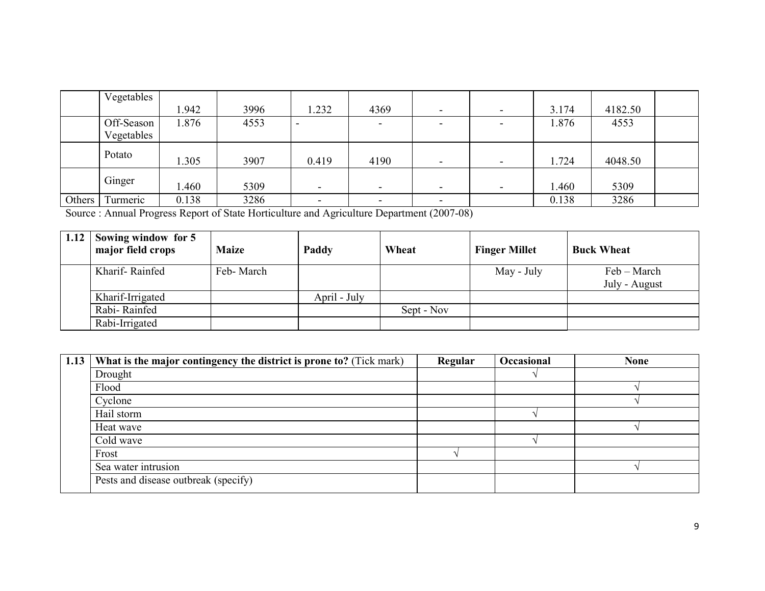|        | Vegetables |       |      |                |                          |                |                          |       |         |  |
|--------|------------|-------|------|----------------|--------------------------|----------------|--------------------------|-------|---------|--|
|        |            | 1.942 | 3996 | 1.232          | 4369                     |                | $\overline{\phantom{0}}$ | 3.174 | 4182.50 |  |
|        | Off-Season | 1.876 | 4553 |                | $\overline{\phantom{0}}$ |                |                          | 1.876 | 4553    |  |
|        | Vegetables |       |      |                |                          |                |                          |       |         |  |
|        | Potato     | 1.305 | 3907 | 0.419          | 4190                     | $\blacksquare$ | $\overline{\phantom{0}}$ | 1.724 | 4048.50 |  |
|        | Ginger     | .460  | 5309 | $\blacksquare$ | $\overline{\phantom{0}}$ | $\overline{a}$ | $\sim$                   | .460  | 5309    |  |
| Others | Turmeric   | 0.138 | 3286 |                | $\overline{\phantom{0}}$ |                |                          | 0.138 | 3286    |  |

Source : Annual Progress Report of State Horticulture and Agriculture Department (2007-08)

| 1.12 | Sowing window for 5<br>major field crops | <b>Maize</b> | Paddy        | Wheat      | <b>Finger Millet</b> | <b>Buck Wheat</b>            |
|------|------------------------------------------|--------------|--------------|------------|----------------------|------------------------------|
|      | Kharif-Rainfed                           | Feb-March    |              |            | May - July           | Feb – March<br>July - August |
|      | Kharif-Irrigated                         |              | April - July |            |                      |                              |
|      | Rabi-Rainfed                             |              |              | Sept - Nov |                      |                              |
|      | Rabi-Irrigated                           |              |              |            |                      |                              |

| 1.13 | What is the major contingency the district is prone to? (Tick mark) | <b>Regular</b> | Occasional | <b>None</b> |
|------|---------------------------------------------------------------------|----------------|------------|-------------|
|      | Drought                                                             |                |            |             |
|      | Flood                                                               |                |            |             |
|      | Cyclone                                                             |                |            |             |
|      | Hail storm                                                          |                |            |             |
|      | Heat wave                                                           |                |            |             |
|      | Cold wave                                                           |                |            |             |
|      | Frost                                                               |                |            |             |
|      | Sea water intrusion                                                 |                |            |             |
|      | Pests and disease outbreak (specify)                                |                |            |             |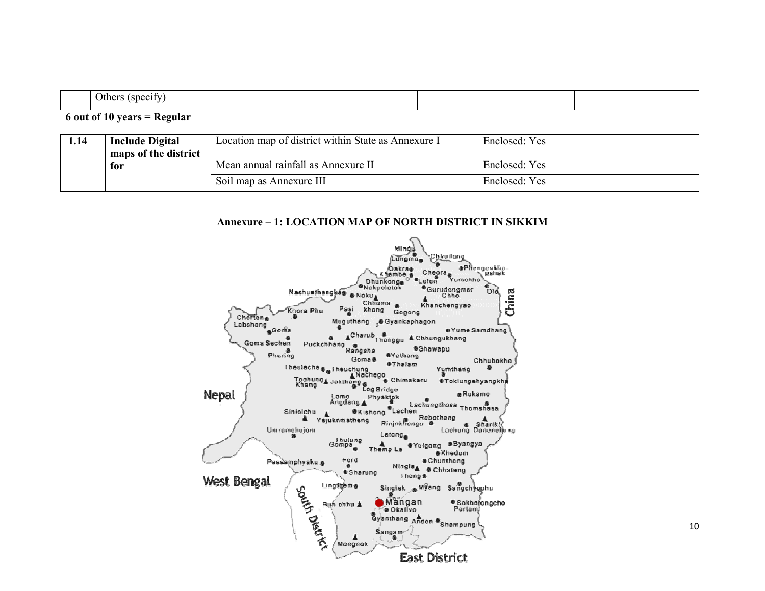|--|--|

#### 6 out of 10 years = Regular

| 1.14 | <b>Include Digital</b><br>maps of the district | Location map of district within State as Annexure I | Enclosed: Yes |
|------|------------------------------------------------|-----------------------------------------------------|---------------|
|      | for                                            | Mean annual rainfall as Annexure II                 | Enclosed: Yes |
|      |                                                | Soil map as Annexure III                            | Enclosed: Yes |

#### Annexure – 1: LOCATION MAP OF NORTH DISTRICT IN SIKKIM

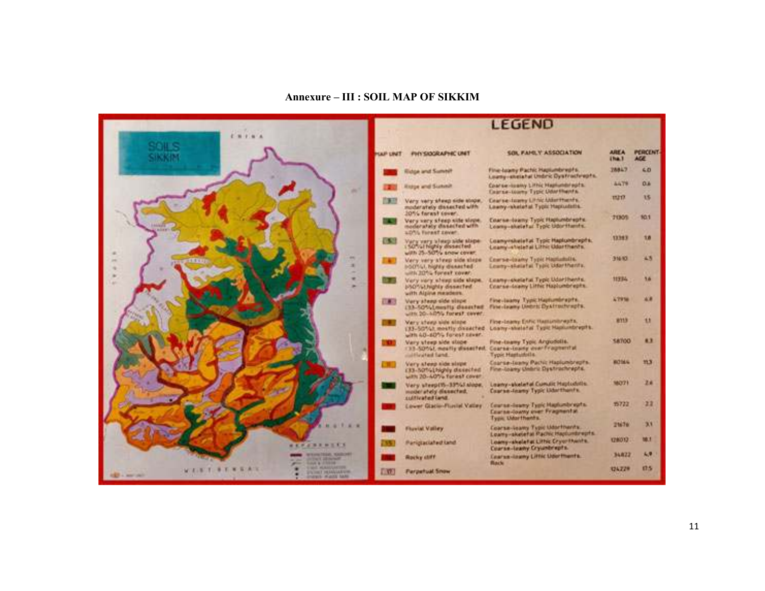#### Annexure – III : SOIL MAP OF SIKKIM

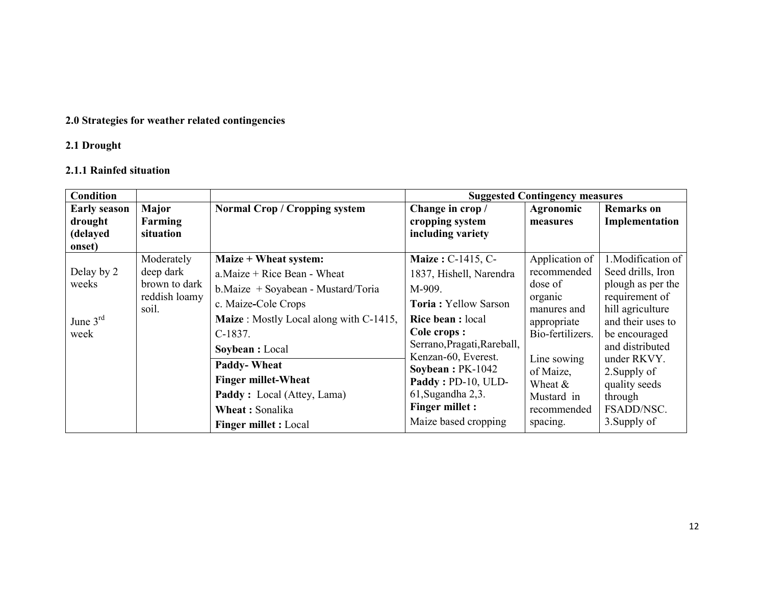## 2.0 Strategies for weather related contingencies

#### 2.1 Drought

### 2.1.1 Rainfed situation

| <b>Condition</b>    |               |                                                |                             | <b>Suggested Contingency measures</b> |                               |
|---------------------|---------------|------------------------------------------------|-----------------------------|---------------------------------------|-------------------------------|
| <b>Early season</b> | Major         | Normal Crop / Cropping system                  | Change in crop/             | Agronomic                             | <b>Remarks</b> on             |
| drought             | Farming       |                                                | cropping system             | measures                              | Implementation                |
| (delayed            | situation     |                                                | including variety           |                                       |                               |
| onset)              |               |                                                |                             |                                       |                               |
|                     | Moderately    | Maize + Wheat system:                          | Maize: C-1415, C-           | Application of                        | 1. Modification of            |
| Delay by 2          | deep dark     | $a$ . Maize + Rice Bean - Wheat                | 1837, Hishell, Narendra     | recommended                           | Seed drills, Iron             |
| weeks               | brown to dark | b. Maize + Soyabean - Mustard/Toria            | M-909.                      | dose of                               | plough as per the             |
|                     | reddish loamy | c. Maize-Cole Crops                            | <b>Toria: Yellow Sarson</b> | organic                               | requirement of                |
|                     | soil.         | <b>Maize</b> : Mostly Local along with C-1415, | <b>Rice bean:</b> local     | manures and                           | hill agriculture              |
| June $3rd$          |               |                                                | Cole crops :                | appropriate                           | and their uses to             |
| week                |               | $C-1837.$                                      | Serrano, Pragati, Rareball, | Bio-fertilizers.                      | be encouraged                 |
|                     |               | Soybean : Local                                | Kenzan-60, Everest.         |                                       | and distributed               |
|                     |               | <b>Paddy-Wheat</b>                             | Soybean: PK-1042            | Line sowing<br>of Maize,              | under RKVY.                   |
|                     |               | <b>Finger millet-Wheat</b>                     | Paddy: PD-10, ULD-          | Wheat $&$                             | 2. Supply of<br>quality seeds |
|                     |               | Paddy: Local (Attey, Lama)                     | 61, Sugandha 2, 3.          | Mustard in                            | through                       |
|                     |               | Wheat: Sonalika                                | Finger millet :             | recommended                           | FSADD/NSC.                    |
|                     |               | <b>Finger millet : Local</b>                   | Maize based cropping        | spacing.                              | 3. Supply of                  |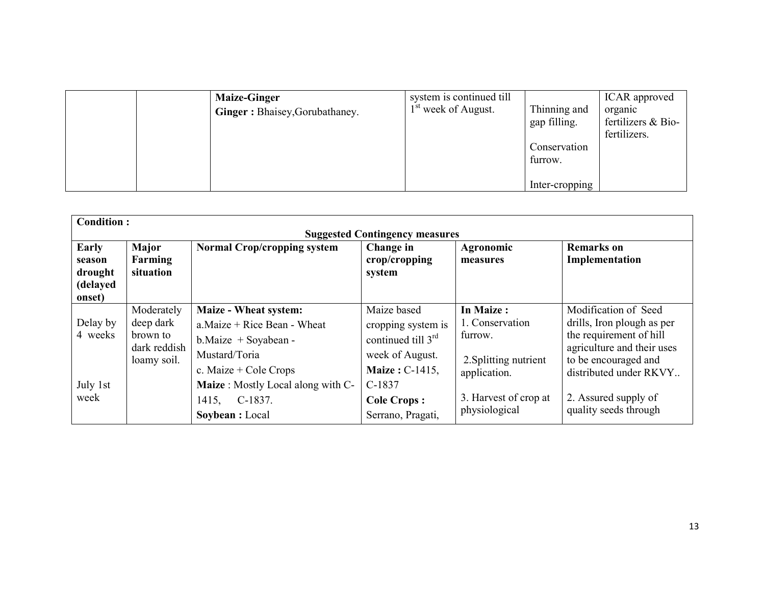| <b>Maize-Ginger</b><br><b>Ginger:</b> Bhaisey, Gorubathaney. | system is continued till<br>1 <sup>st</sup> week of August. | Thinning and<br>gap filling.<br>Conservation<br>furrow. | ICAR approved<br>organic<br>fertilizers & Bio-<br>fertilizers. |
|--------------------------------------------------------------|-------------------------------------------------------------|---------------------------------------------------------|----------------------------------------------------------------|
|                                                              |                                                             | Inter-cropping                                          |                                                                |

| <b>Condition:</b>                                |                                                                    |                                                                                                                                  |                                                                                                       |                                                                                  |                                                                                                                                                               |  |  |  |  |
|--------------------------------------------------|--------------------------------------------------------------------|----------------------------------------------------------------------------------------------------------------------------------|-------------------------------------------------------------------------------------------------------|----------------------------------------------------------------------------------|---------------------------------------------------------------------------------------------------------------------------------------------------------------|--|--|--|--|
| <b>Suggested Contingency measures</b>            |                                                                    |                                                                                                                                  |                                                                                                       |                                                                                  |                                                                                                                                                               |  |  |  |  |
| Early<br>season<br>drought<br>(delayed<br>onset) | Major<br>Farming<br>situation                                      | <b>Normal Crop/cropping system</b>                                                                                               | Change in<br>crop/cropping<br>system                                                                  | Agronomic<br>measures                                                            | <b>Remarks</b> on<br>Implementation                                                                                                                           |  |  |  |  |
| Delay by<br>4 weeks                              | Moderately<br>deep dark<br>brown to<br>dark reddish<br>loamy soil. | Maize - Wheat system:<br>$a$ . Maize + Rice Bean - Wheat<br>$b$ . Maize + Soyabean -<br>Mustard/Toria<br>c. Maize $+$ Cole Crops | Maize based<br>cropping system is<br>continued till $3rd$<br>week of August.<br><b>Maize: C-1415,</b> | In Maize:<br>1. Conservation<br>furrow.<br>2. Splitting nutrient<br>application. | Modification of Seed<br>drills, Iron plough as per<br>the requirement of hill<br>agriculture and their uses<br>to be encouraged and<br>distributed under RKVY |  |  |  |  |
| July 1st<br>week                                 |                                                                    | Maize: Mostly Local along with C-<br>1415, C-1837.<br>Soybean : Local                                                            | $C-1837$<br><b>Cole Crops:</b><br>Serrano, Pragati,                                                   | 3. Harvest of crop at<br>physiological                                           | 2. Assured supply of<br>quality seeds through                                                                                                                 |  |  |  |  |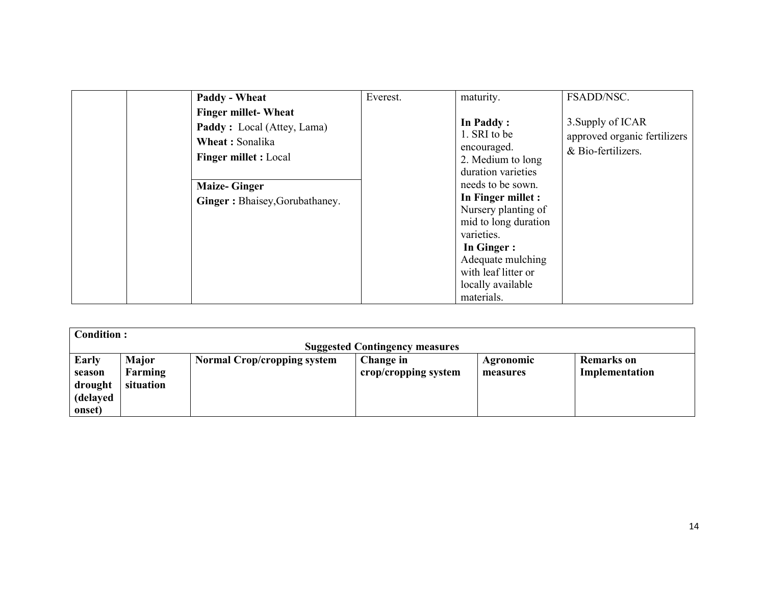| Paddy - Wheat<br><b>Finger millet-Wheat</b><br><b>Paddy</b> : Local (Attey, Lama)<br>Wheat: Sonalika<br><b>Finger millet : Local</b><br><b>Maize-Ginger</b><br>Ginger: Bhaisey, Gorubathaney. | Everest. | maturity.<br>In Paddy:<br>1. SRI to be<br>encouraged.<br>2. Medium to long<br>duration varieties<br>needs to be sown.<br>In Finger millet :<br>Nursery planting of<br>mid to long duration<br>varieties.<br>In Ginger:<br>Adequate mulching<br>with leaf litter or | FSADD/NSC.<br>3. Supply of ICAR<br>approved organic fertilizers<br>& Bio-fertilizers. |
|-----------------------------------------------------------------------------------------------------------------------------------------------------------------------------------------------|----------|--------------------------------------------------------------------------------------------------------------------------------------------------------------------------------------------------------------------------------------------------------------------|---------------------------------------------------------------------------------------|
|                                                                                                                                                                                               |          | locally available<br>materials.                                                                                                                                                                                                                                    |                                                                                       |

| <b>Condition:</b>                                |                               |                             |                                   |                              |                              |  |  |  |
|--------------------------------------------------|-------------------------------|-----------------------------|-----------------------------------|------------------------------|------------------------------|--|--|--|
| <b>Suggested Contingency measures</b>            |                               |                             |                                   |                              |                              |  |  |  |
| Early<br>season<br>drought<br>(delayed<br>onset) | Major<br>Farming<br>situation | Normal Crop/cropping system | Change in<br>crop/cropping system | <b>Agronomic</b><br>measures | Remarks on<br>Implementation |  |  |  |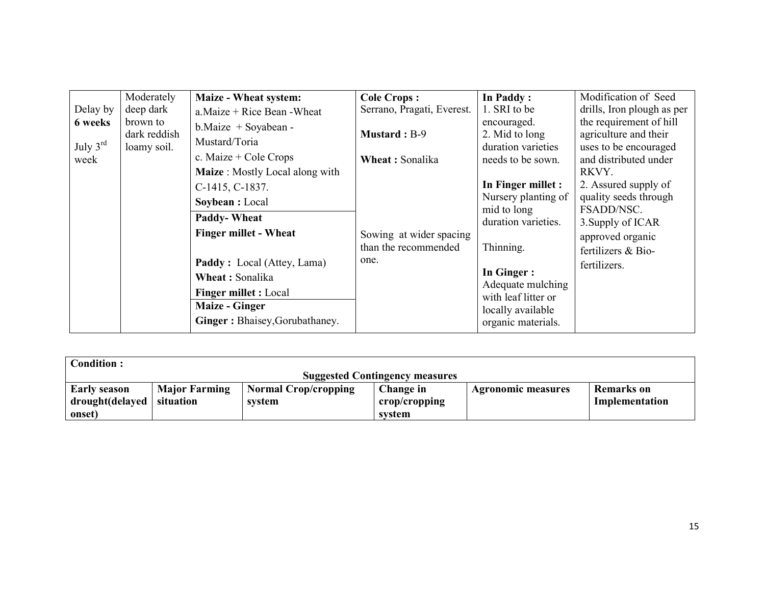| Delay by<br>6 weeks<br>July $3rd$<br>week | Moderately<br>deep dark<br>brown to<br>dark reddish<br>loamy soil. | Maize - Wheat system:<br>a. Maize $+$ Rice Bean - Wheat<br>$b$ . Maize + Soyabean -<br>Mustard/Toria<br>c. Maize $+$ Cole Crops<br>Maize: Mostly Local along with                                                                            | <b>Cole Crops:</b><br>Serrano, Pragati, Everest.<br><b>Mustard</b> : B-9<br>Wheat: Sonalika | In Paddy:<br>1. SRI to be<br>encouraged.<br>2. Mid to long<br>duration varieties<br>needs to be sown.                                                                                             | Modification of Seed<br>drills, Iron plough as per<br>the requirement of hill<br>agriculture and their<br>uses to be encouraged<br>and distributed under<br>RKVY. |
|-------------------------------------------|--------------------------------------------------------------------|----------------------------------------------------------------------------------------------------------------------------------------------------------------------------------------------------------------------------------------------|---------------------------------------------------------------------------------------------|---------------------------------------------------------------------------------------------------------------------------------------------------------------------------------------------------|-------------------------------------------------------------------------------------------------------------------------------------------------------------------|
|                                           |                                                                    | C-1415, C-1837.<br>Soybean : Local<br><b>Paddy-Wheat</b><br><b>Finger millet - Wheat</b><br><b>Paddy</b> : Local (Attey, Lama)<br>Wheat: Sonalika<br><b>Finger millet : Local</b><br><b>Maize - Ginger</b><br>Ginger: Bhaisey, Gorubathaney. | Sowing at wider spacing<br>than the recommended<br>one.                                     | In Finger millet :<br>Nursery planting of<br>mid to long<br>duration varieties.<br>Thinning.<br>In Ginger:<br>Adequate mulching<br>with leaf litter or<br>locally available<br>organic materials. | 2. Assured supply of<br>quality seeds through<br>FSADD/NSC.<br>3. Supply of ICAR<br>approved organic<br>fertilizers & Bio-<br>fertilizers.                        |

| <b>Condition:</b>                     |                      |                      |               |                           |                |  |  |
|---------------------------------------|----------------------|----------------------|---------------|---------------------------|----------------|--|--|
| <b>Suggested Contingency measures</b> |                      |                      |               |                           |                |  |  |
| <b>Early season</b>                   | <b>Major Farming</b> | Normal Crop/cropping | Change in     | <b>Agronomic measures</b> | Remarks on     |  |  |
| drought(delayed                       | situation            | svstem               | crop/cropping |                           | Implementation |  |  |
| onset)                                |                      |                      | svstem        |                           |                |  |  |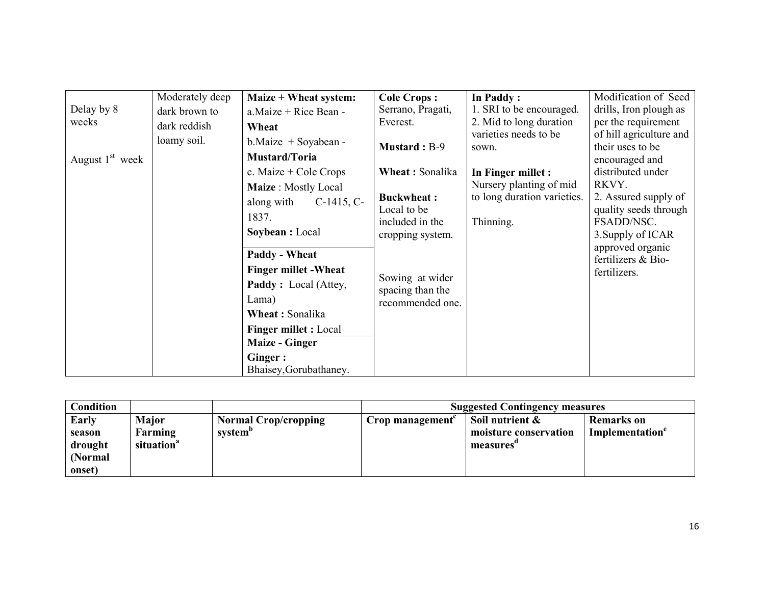| Delay by 8<br>weeks<br>August $1st$ week | Moderately deep<br>dark brown to<br>dark reddish<br>Wheat<br>loamy soil.<br>along with<br>1837.<br>Lama)<br>Ginger: | Maize + Wheat system:<br>$a$ . Maize + Rice Bean -<br>$b$ . Maize + Soyabean -<br>Mustard/Toria<br>c. Maize $+$ Cole Crops<br>Maize: Mostly Local<br>$C-1415, C-$<br>Soybean : Local       | <b>Cole Crops:</b><br>Serrano, Pragati,<br>Everest.<br><b>Mustard</b> : B-9<br>Wheat: Sonalika<br><b>Buckwheat:</b><br>Local to be<br>included in the<br>cropping system. | In Paddy:<br>1. SRI to be encouraged.<br>2. Mid to long duration<br>varieties needs to be<br>sown.<br>In Finger millet :<br>Nursery planting of mid<br>to long duration varieties.<br>Thinning. | Modification of Seed<br>drills, Iron plough as<br>per the requirement<br>of hill agriculture and<br>their uses to be<br>encouraged and<br>distributed under<br>RKVY.<br>2. Assured supply of<br>quality seeds through<br>FSADD/NSC.<br>3. Supply of ICAR |
|------------------------------------------|---------------------------------------------------------------------------------------------------------------------|--------------------------------------------------------------------------------------------------------------------------------------------------------------------------------------------|---------------------------------------------------------------------------------------------------------------------------------------------------------------------------|-------------------------------------------------------------------------------------------------------------------------------------------------------------------------------------------------|----------------------------------------------------------------------------------------------------------------------------------------------------------------------------------------------------------------------------------------------------------|
|                                          |                                                                                                                     | <b>Paddy - Wheat</b><br><b>Finger millet - Wheat</b><br><b>Paddy</b> : Local (Attey,<br>Wheat: Sonalika<br><b>Finger millet : Local</b><br><b>Maize - Ginger</b><br>Bhaisey, Gorubathaney. | Sowing at wider<br>spacing than the<br>recommended one.                                                                                                                   |                                                                                                                                                                                                 | approved organic<br>fertilizers & Bio-<br>fertilizers.                                                                                                                                                                                                   |

| <b>Condition</b> |                        |                             |                 | <b>Suggested Contingency measures</b> |                             |
|------------------|------------------------|-----------------------------|-----------------|---------------------------------------|-----------------------------|
| Early            | Major                  | <b>Normal Crop/cropping</b> | Crop management | Soil nutrient &                       | <b>Remarks</b> on           |
| season           | Farming                | system <sup>o</sup>         |                 | moisture conservation                 | Implementation <sup>e</sup> |
| drought          | situation <sup>a</sup> |                             |                 | measures'                             |                             |
| (Normal          |                        |                             |                 |                                       |                             |
| onset)           |                        |                             |                 |                                       |                             |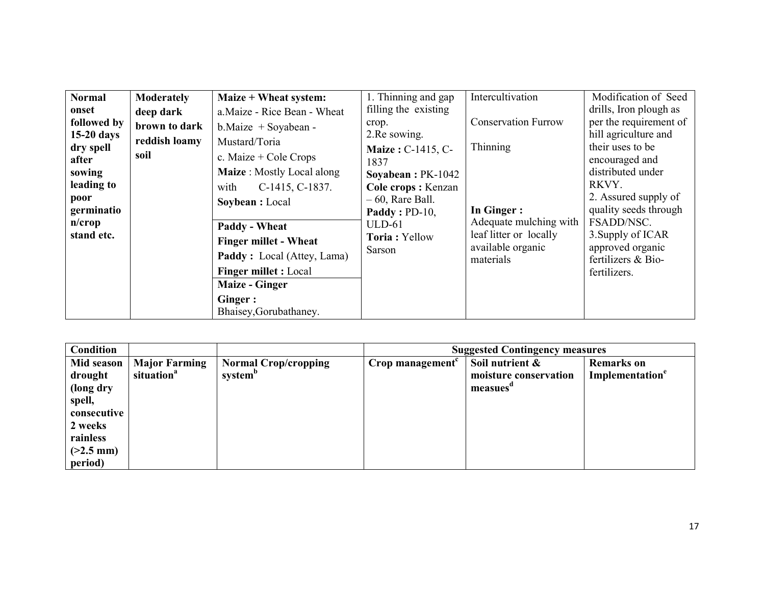| <b>Normal</b><br>onset<br>followed by<br>$15-20$ days<br>dry spell<br>after<br>sowing<br>leading to<br>poor<br>germinatio<br>$n$ /crop<br>stand etc. | <b>Moderately</b><br>deep dark<br>brown to dark<br>reddish loamy<br>soil | Maize + Wheat system:<br>a. Maize - Rice Bean - Wheat<br>$b$ . Maize + Soyabean -<br>Mustard/Toria<br>c. Maize $+$ Cole Crops<br><b>Maize</b> : Mostly Local along<br>with<br>C-1415, C-1837.<br>Soybean : Local<br>Paddy - Wheat<br><b>Finger millet - Wheat</b><br><b>Paddy:</b> Local (Attey, Lama)<br><b>Finger millet : Local</b><br><b>Maize - Ginger</b><br>Ginger :<br>Bhaisey, Gorubathaney. | 1. Thinning and gap<br>filling the existing<br>crop.<br>2. Re sowing.<br><b>Maize: C-1415, C-</b><br>1837<br>Soyabean: PK-1042<br>Cole crops: Kenzan<br>$-60$ , Rare Ball.<br><b>Paddy</b> : $PD-10$ ,<br>$ULD-61$<br>Toria: Yellow<br>Sarson | Intercultivation<br><b>Conservation Furrow</b><br>Thinning<br>In Ginger:<br>Adequate mulching with<br>leaf litter or locally<br>available organic<br>materials | Modification of Seed<br>drills, Iron plough as<br>per the requirement of<br>hill agriculture and<br>their uses to be<br>encouraged and<br>distributed under<br>RKVY.<br>2. Assured supply of<br>quality seeds through<br>FSADD/NSC.<br>3. Supply of ICAR<br>approved organic<br>fertilizers & Bio-<br>fertilizers. |
|------------------------------------------------------------------------------------------------------------------------------------------------------|--------------------------------------------------------------------------|-------------------------------------------------------------------------------------------------------------------------------------------------------------------------------------------------------------------------------------------------------------------------------------------------------------------------------------------------------------------------------------------------------|-----------------------------------------------------------------------------------------------------------------------------------------------------------------------------------------------------------------------------------------------|----------------------------------------------------------------------------------------------------------------------------------------------------------------|--------------------------------------------------------------------------------------------------------------------------------------------------------------------------------------------------------------------------------------------------------------------------------------------------------------------|
|------------------------------------------------------------------------------------------------------------------------------------------------------|--------------------------------------------------------------------------|-------------------------------------------------------------------------------------------------------------------------------------------------------------------------------------------------------------------------------------------------------------------------------------------------------------------------------------------------------------------------------------------------------|-----------------------------------------------------------------------------------------------------------------------------------------------------------------------------------------------------------------------------------------------|----------------------------------------------------------------------------------------------------------------------------------------------------------------|--------------------------------------------------------------------------------------------------------------------------------------------------------------------------------------------------------------------------------------------------------------------------------------------------------------------|

| <b>Condition</b> |                        |                             | <b>Suggested Contingency measures</b> |                       |                             |  |
|------------------|------------------------|-----------------------------|---------------------------------------|-----------------------|-----------------------------|--|
| Mid season       | <b>Major Farming</b>   | <b>Normal Crop/cropping</b> | Crop management <sup>c</sup>          | Soil nutrient &       | <b>Remarks</b> on           |  |
| drought          | situation <sup>a</sup> | system <sup>b</sup>         |                                       | moisture conservation | Implementation <sup>e</sup> |  |
| (long dry        |                        |                             |                                       | measues"              |                             |  |
| spell,           |                        |                             |                                       |                       |                             |  |
| consecutive      |                        |                             |                                       |                       |                             |  |
| 2 weeks          |                        |                             |                                       |                       |                             |  |
| rainless         |                        |                             |                                       |                       |                             |  |
| $(>2.5$ mm)      |                        |                             |                                       |                       |                             |  |
| period)          |                        |                             |                                       |                       |                             |  |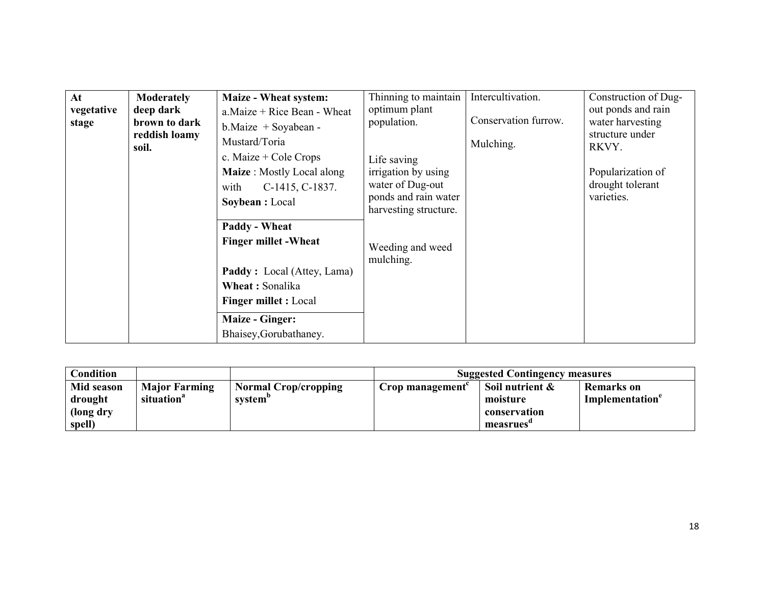| At<br>vegetative<br>stage | <b>Moderately</b><br>deep dark<br>brown to dark<br>reddish loamy<br>soil. | <b>Maize - Wheat system:</b><br>$a.Maize + Rice Bean - Wheat$<br>$b$ . Maize + Soyabean -<br>Mustard/Toria<br>c. Maize $+$ Cole Crops<br>Maize: Mostly Local along<br>C-1415, C-1837.<br>with<br>Soybean : Local | Thinning to maintain<br>optimum plant<br>population.<br>Life saving<br>irrigation by using<br>water of Dug-out<br>ponds and rain water<br>harvesting structure.<br>Weeding and weed<br>mulching. | Intercultivation.<br>Conservation furrow.<br>Mulching. | Construction of Dug-<br>out ponds and rain<br>water harvesting<br>structure under<br>RKVY.<br>Popularization of<br>drought tolerant<br>varieties. |
|---------------------------|---------------------------------------------------------------------------|------------------------------------------------------------------------------------------------------------------------------------------------------------------------------------------------------------------|--------------------------------------------------------------------------------------------------------------------------------------------------------------------------------------------------|--------------------------------------------------------|---------------------------------------------------------------------------------------------------------------------------------------------------|
|                           |                                                                           | Paddy - Wheat<br><b>Finger millet - Wheat</b><br><b>Paddy</b> : Local (Attey, Lama)<br>Wheat: Sonalika<br><b>Finger millet : Local</b><br><b>Maize - Ginger:</b><br>Bhaisey, Gorubathaney.                       |                                                                                                                                                                                                  |                                                        |                                                                                                                                                   |

| <b>Condition</b>                             |                                                |                                                    |                 | <b>Suggested Contingency measures</b>                    |                                                  |
|----------------------------------------------|------------------------------------------------|----------------------------------------------------|-----------------|----------------------------------------------------------|--------------------------------------------------|
| Mid season<br>drought<br>(long dry<br>spell) | <b>Major Farming</b><br>situation <sup>a</sup> | <b>Normal Crop/cropping</b><br>system <sup>o</sup> | Crop management | Soil nutrient &<br>moisture<br>conservation<br>measrues' | <b>Remarks</b> on<br>Implementation <sup>e</sup> |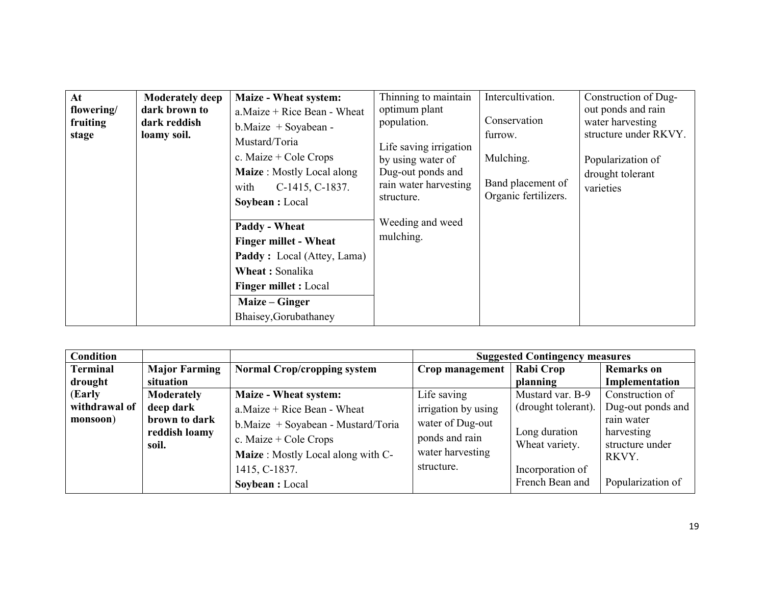| At<br>flowering/<br>fruiting<br>stage | <b>Moderately deep</b><br>dark brown to<br>dark reddish<br>loamy soil. | <b>Maize - Wheat system:</b><br>$a$ . Maize + Rice Bean - Wheat<br>$b$ . Maize + Soyabean -<br>Mustard/Toria<br>c. Maize + Cole Crops<br><b>Maize</b> : Mostly Local along<br>C-1415, C-1837.<br>with<br>Soybean : Local | Thinning to maintain<br>optimum plant<br>population.<br>Life saving irrigation<br>by using water of<br>Dug-out ponds and<br>rain water harvesting<br>structure. | Intercultivation.<br>Conservation<br>furrow.<br>Mulching.<br>Band placement of<br>Organic fertilizers. | Construction of Dug-<br>out ponds and rain<br>water harvesting<br>structure under RKVY.<br>Popularization of<br>drought tolerant<br>varieties |
|---------------------------------------|------------------------------------------------------------------------|--------------------------------------------------------------------------------------------------------------------------------------------------------------------------------------------------------------------------|-----------------------------------------------------------------------------------------------------------------------------------------------------------------|--------------------------------------------------------------------------------------------------------|-----------------------------------------------------------------------------------------------------------------------------------------------|
|                                       |                                                                        | <b>Paddy - Wheat</b><br><b>Finger millet - Wheat</b><br><b>Paddy</b> : Local (Attey, Lama)<br>Wheat: Sonalika<br><b>Finger millet : Local</b><br>Maize – Ginger<br>Bhaisey, Gorubathaney                                 | Weeding and weed<br>mulching.                                                                                                                                   |                                                                                                        |                                                                                                                                               |

| <b>Condition</b> |                                         |                                                                                                                      | <b>Suggested Contingency measures</b>                                |                                                     |                                                      |  |
|------------------|-----------------------------------------|----------------------------------------------------------------------------------------------------------------------|----------------------------------------------------------------------|-----------------------------------------------------|------------------------------------------------------|--|
| <b>Terminal</b>  | <b>Major Farming</b>                    | <b>Normal Crop/cropping system</b>                                                                                   | Crop management                                                      | <b>Rabi Crop</b>                                    | <b>Remarks</b> on                                    |  |
| drought          | situation                               |                                                                                                                      |                                                                      | planning                                            | Implementation                                       |  |
| (Early           | Moderately                              | <b>Maize - Wheat system:</b>                                                                                         | Life saving                                                          | Mustard var. B-9                                    | Construction of                                      |  |
| withdrawal of    | deep dark                               | $a$ . Maize + Rice Bean - Wheat                                                                                      | irrigation by using                                                  | (drought tolerant).                                 | Dug-out ponds and                                    |  |
| monsoon)         | brown to dark<br>reddish loamy<br>soil. | b. Maize + Soyabean - Mustard/Toria<br>c. Maize $+$ Cole Crops<br>Maize: Mostly Local along with C-<br>1415, C-1837. | water of Dug-out<br>ponds and rain<br>water harvesting<br>structure. | Long duration<br>Wheat variety.<br>Incorporation of | rain water<br>harvesting<br>structure under<br>RKVY. |  |
|                  |                                         | Soybean : Local                                                                                                      |                                                                      | French Bean and                                     | Popularization of                                    |  |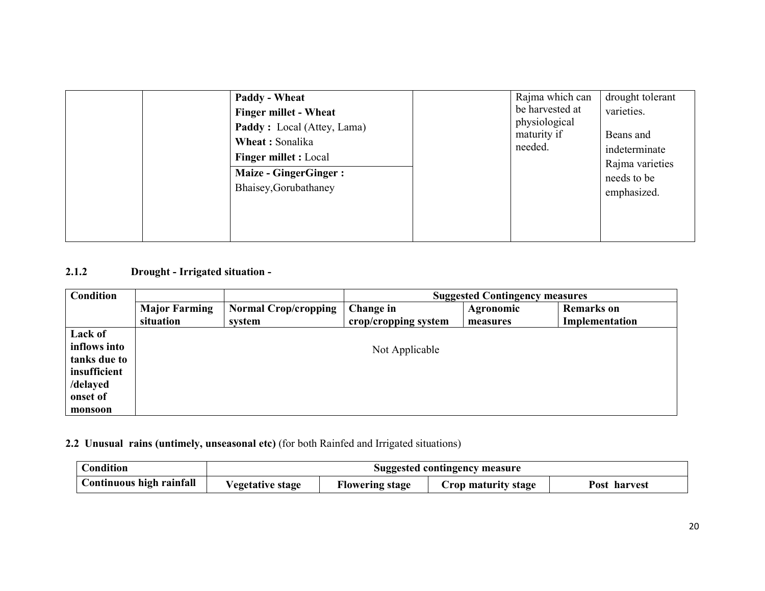| <b>Paddy - Wheat</b><br><b>Finger millet - Wheat</b><br>Paddy: Local (Attey, Lama)<br>Wheat: Sonalika<br><b>Finger millet : Local</b><br><b>Maize - GingerGinger:</b><br>Bhaisey, Gorubathaney | Rajma which can<br>drought tolerant<br>be harvested at<br>varieties.<br>physiological<br>maturity if<br>Beans and<br>needed.<br>indeterminate<br>Rajma varieties<br>needs to be |
|------------------------------------------------------------------------------------------------------------------------------------------------------------------------------------------------|---------------------------------------------------------------------------------------------------------------------------------------------------------------------------------|
|------------------------------------------------------------------------------------------------------------------------------------------------------------------------------------------------|---------------------------------------------------------------------------------------------------------------------------------------------------------------------------------|

# 2.1.2 Drought - Irrigated situation -

| <b>Condition</b>                                                                           | <b>Suggested Contingency measures</b> |                                       |                                   |                              |                                     |
|--------------------------------------------------------------------------------------------|---------------------------------------|---------------------------------------|-----------------------------------|------------------------------|-------------------------------------|
|                                                                                            | <b>Major Farming</b><br>situation     | <b>Normal Crop/cropping</b><br>system | Change in<br>crop/cropping system | <b>Agronomic</b><br>measures | <b>Remarks</b> on<br>Implementation |
| Lack of<br>inflows into<br>tanks due to<br>insufficient<br>/delayed<br>onset of<br>monsoon |                                       |                                       | Not Applicable                    |                              |                                     |

#### 2.2 Unusual rains (untimely, unseasonal etc) (for both Rainfed and Irrigated situations)

| Condition                | Suggested contingency measure |                        |                     |              |  |
|--------------------------|-------------------------------|------------------------|---------------------|--------------|--|
| Continuous high rainfall | <b>Vegetative stage</b>       | <b>Flowering stage</b> | Crop maturity stage | Post harvest |  |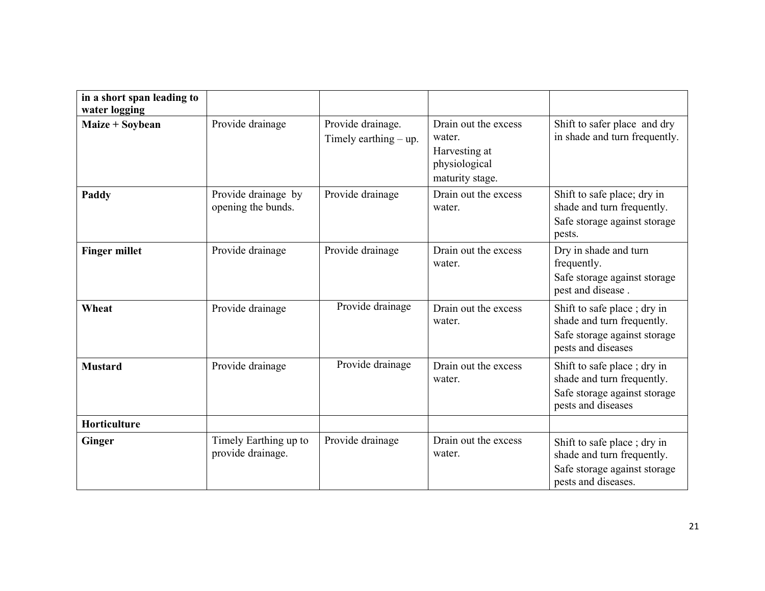| in a short span leading to<br>water logging |                                            |                                                 |                                                                                     |                                                                                                                  |
|---------------------------------------------|--------------------------------------------|-------------------------------------------------|-------------------------------------------------------------------------------------|------------------------------------------------------------------------------------------------------------------|
| Maize + Soybean                             | Provide drainage                           | Provide drainage.<br>Timely earthing $-\upmu$ . | Drain out the excess<br>water.<br>Harvesting at<br>physiological<br>maturity stage. | Shift to safer place and dry<br>in shade and turn frequently.                                                    |
| Paddy                                       | Provide drainage by<br>opening the bunds.  | Provide drainage                                | Drain out the excess<br>water.                                                      | Shift to safe place; dry in<br>shade and turn frequently.<br>Safe storage against storage<br>pests.              |
| <b>Finger millet</b>                        | Provide drainage                           | Provide drainage                                | Drain out the excess<br>water.                                                      | Dry in shade and turn<br>frequently.<br>Safe storage against storage<br>pest and disease.                        |
| Wheat                                       | Provide drainage                           | Provide drainage                                | Drain out the excess<br>water.                                                      | Shift to safe place; dry in<br>shade and turn frequently.<br>Safe storage against storage<br>pests and diseases  |
| <b>Mustard</b>                              | Provide drainage                           | Provide drainage                                | Drain out the excess<br>water.                                                      | Shift to safe place; dry in<br>shade and turn frequently.<br>Safe storage against storage<br>pests and diseases  |
| <b>Horticulture</b>                         |                                            |                                                 |                                                                                     |                                                                                                                  |
| Ginger                                      | Timely Earthing up to<br>provide drainage. | Provide drainage                                | Drain out the excess<br>water.                                                      | Shift to safe place; dry in<br>shade and turn frequently.<br>Safe storage against storage<br>pests and diseases. |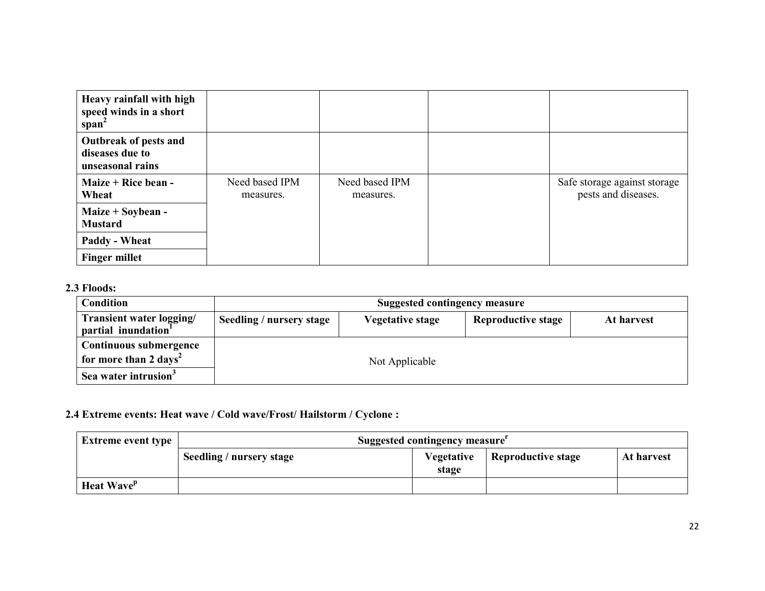| Heavy rainfall with high<br>speed winds in a short<br>$span^2$ |                             |                             |                                                     |
|----------------------------------------------------------------|-----------------------------|-----------------------------|-----------------------------------------------------|
| Outbreak of pests and<br>diseases due to<br>unseasonal rains   |                             |                             |                                                     |
| Maize + Rice bean -<br>Wheat                                   | Need based IPM<br>measures. | Need based IPM<br>measures. | Safe storage against storage<br>pests and diseases. |
| Maize $+$ Soybean -<br><b>Mustard</b>                          |                             |                             |                                                     |
| <b>Paddy - Wheat</b>                                           |                             |                             |                                                     |
| <b>Finger millet</b>                                           |                             |                             |                                                     |

## 2.3 Floods:

| <b>Condition</b>                                                                                | <b>Suggested contingency measure</b> |                  |                           |            |
|-------------------------------------------------------------------------------------------------|--------------------------------------|------------------|---------------------------|------------|
| Transient water logging/<br>partial inundation <sup>1</sup>                                     | Seedling / nursery stage             | Vegetative stage | <b>Reproductive stage</b> | At harvest |
| Continuous submergence<br>for more than 2 days <sup>2</sup><br>Sea water intrusion <sup>3</sup> |                                      | Not Applicable   |                           |            |

### 2.4 Extreme events: Heat wave / Cold wave/Frost/ Hailstorm / Cyclone :

| <b>Extreme event type</b>     | Suggested contingency measure |                     |                           |            |
|-------------------------------|-------------------------------|---------------------|---------------------------|------------|
|                               | Seedling / nursery stage      | Vegetative<br>stage | <b>Reproductive stage</b> | At harvest |
| <b>Heat Wave</b> <sup>p</sup> |                               |                     |                           |            |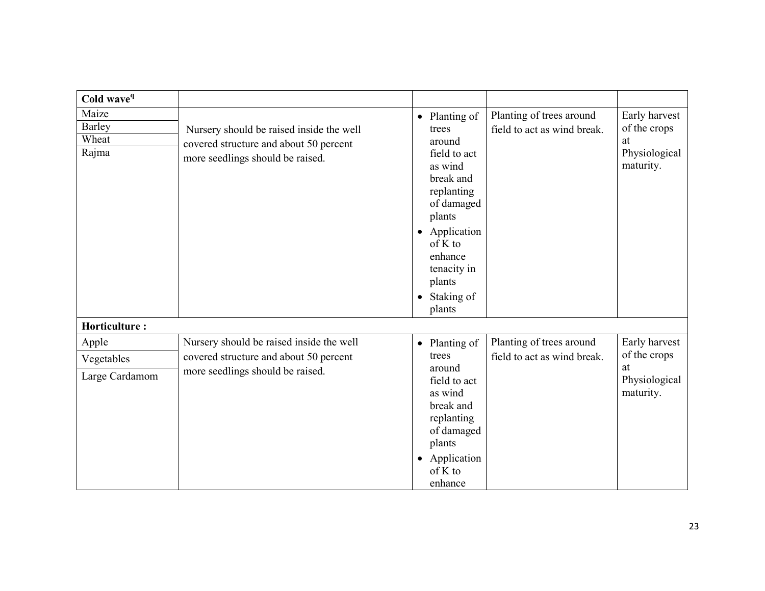| Cold wave <sup>q</sup>                   |                                                                                                                        |                                                                                                                                                                                                                     |                                                         |                                                                   |
|------------------------------------------|------------------------------------------------------------------------------------------------------------------------|---------------------------------------------------------------------------------------------------------------------------------------------------------------------------------------------------------------------|---------------------------------------------------------|-------------------------------------------------------------------|
| Maize<br><b>Barley</b><br>Wheat<br>Rajma | Nursery should be raised inside the well<br>covered structure and about 50 percent<br>more seedlings should be raised. | • Planting of<br>trees<br>around<br>field to act<br>as wind<br>break and<br>replanting<br>of damaged<br>plants<br>• Application<br>of K to<br>enhance<br>tenacity in<br>plants<br>Staking of<br>$\bullet$<br>plants | Planting of trees around<br>field to act as wind break. | Early harvest<br>of the crops<br>at<br>Physiological<br>maturity. |
| <b>Horticulture:</b>                     |                                                                                                                        |                                                                                                                                                                                                                     |                                                         |                                                                   |
| Apple                                    | Nursery should be raised inside the well                                                                               | • Planting of                                                                                                                                                                                                       | Planting of trees around                                | Early harvest                                                     |
| Vegetables                               | covered structure and about 50 percent                                                                                 | trees                                                                                                                                                                                                               | field to act as wind break.                             | of the crops<br>at                                                |
| Large Cardamom                           | more seedlings should be raised.                                                                                       | around<br>field to act<br>as wind<br>break and<br>replanting<br>of damaged<br>plants<br>• Application<br>of K to<br>enhance                                                                                         |                                                         | Physiological<br>maturity.                                        |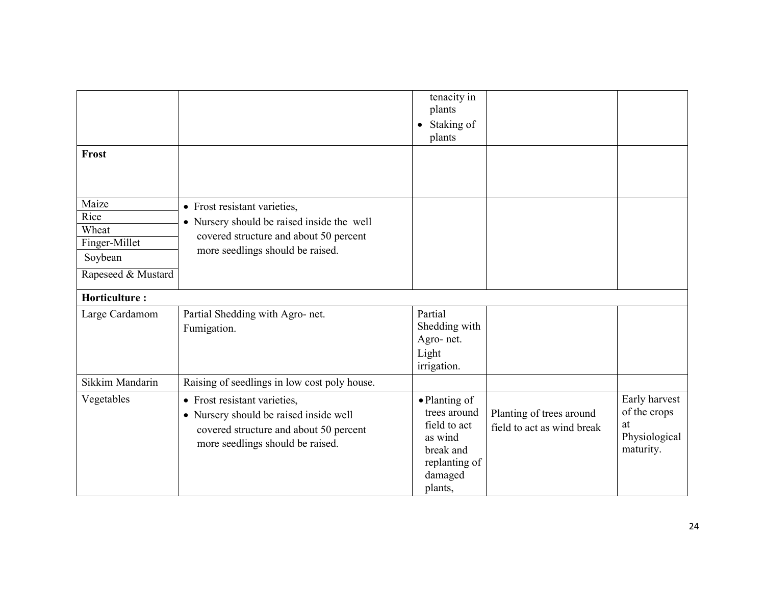| Frost                                                                    |                                                                                                                                                          | tenacity in<br>plants<br>Staking of<br>$\bullet$<br>plants                                                   |                                                        |                                                                   |
|--------------------------------------------------------------------------|----------------------------------------------------------------------------------------------------------------------------------------------------------|--------------------------------------------------------------------------------------------------------------|--------------------------------------------------------|-------------------------------------------------------------------|
| Maize<br>Rice<br>Wheat<br>Finger-Millet<br>Soybean<br>Rapeseed & Mustard | • Frost resistant varieties,<br>• Nursery should be raised inside the well<br>covered structure and about 50 percent<br>more seedlings should be raised. |                                                                                                              |                                                        |                                                                   |
| <b>Horticulture:</b>                                                     |                                                                                                                                                          |                                                                                                              |                                                        |                                                                   |
| Large Cardamom                                                           | Partial Shedding with Agro- net.<br>Fumigation.                                                                                                          | Partial<br>Shedding with<br>Agro-net.<br>Light<br>irrigation.                                                |                                                        |                                                                   |
| Sikkim Mandarin                                                          | Raising of seedlings in low cost poly house.                                                                                                             |                                                                                                              |                                                        |                                                                   |
| Vegetables                                                               | • Frost resistant varieties,<br>• Nursery should be raised inside well<br>covered structure and about 50 percent<br>more seedlings should be raised.     | • Planting of<br>trees around<br>field to act<br>as wind<br>break and<br>replanting of<br>damaged<br>plants, | Planting of trees around<br>field to act as wind break | Early harvest<br>of the crops<br>at<br>Physiological<br>maturity. |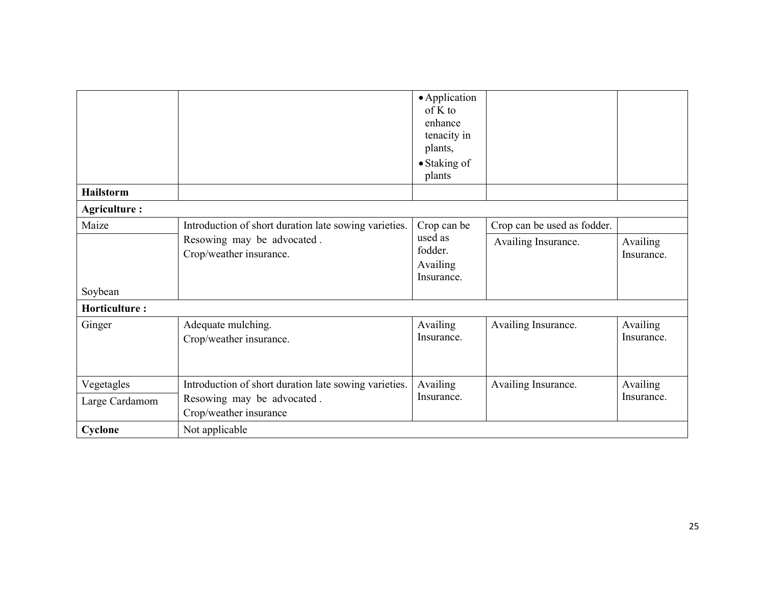|                      |                                                       | • Application<br>of K to<br>enhance<br>tenacity in<br>plants,<br>• Staking of<br>plants |                             |                               |
|----------------------|-------------------------------------------------------|-----------------------------------------------------------------------------------------|-----------------------------|-------------------------------|
| <b>Hailstorm</b>     |                                                       |                                                                                         |                             |                               |
| <b>Agriculture:</b>  |                                                       |                                                                                         |                             |                               |
| Maize                | Introduction of short duration late sowing varieties. | Crop can be                                                                             | Crop can be used as fodder. |                               |
| Soybean              | Resowing may be advocated.<br>Crop/weather insurance. | used as<br>fodder.<br>Availing<br>Insurance.                                            | Availing Insurance.         | Availing<br>Insurance.        |
| <b>Horticulture:</b> |                                                       |                                                                                         |                             |                               |
| Ginger               | Adequate mulching.<br>Crop/weather insurance.         | Availing<br>Insurance.                                                                  | Availing Insurance.         | <b>Availing</b><br>Insurance. |
| Vegetagles           | Introduction of short duration late sowing varieties. | Availing                                                                                | Availing Insurance.         | Availing                      |
| Large Cardamom       | Resowing may be advocated.<br>Crop/weather insurance  | Insurance.                                                                              |                             | Insurance.                    |
| Cyclone              | Not applicable                                        |                                                                                         |                             |                               |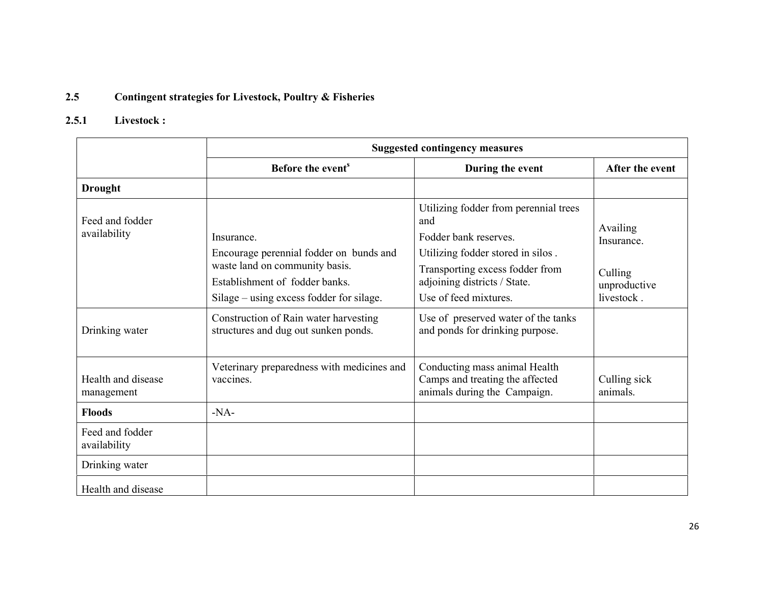#### 2.5Contingent strategies for Livestock, Poultry & Fisheries

# 2.5.1 Livestock :

|                                  |                                                                                                                                                                       | <b>Suggested contingency measures</b>                                                                                                                                                                  |                                                                        |  |  |
|----------------------------------|-----------------------------------------------------------------------------------------------------------------------------------------------------------------------|--------------------------------------------------------------------------------------------------------------------------------------------------------------------------------------------------------|------------------------------------------------------------------------|--|--|
|                                  | Before the event <sup>s</sup>                                                                                                                                         | During the event                                                                                                                                                                                       | After the event                                                        |  |  |
| <b>Drought</b>                   |                                                                                                                                                                       |                                                                                                                                                                                                        |                                                                        |  |  |
| Feed and fodder<br>availability  | Insurance.<br>Encourage perennial fodder on bunds and<br>waste land on community basis.<br>Establishment of fodder banks.<br>Silage – using excess fodder for silage. | Utilizing fodder from perennial trees<br>and<br>Fodder bank reserves.<br>Utilizing fodder stored in silos.<br>Transporting excess fodder from<br>adjoining districts / State.<br>Use of feed mixtures. | <b>Availing</b><br>Insurance.<br>Culling<br>unproductive<br>livestock. |  |  |
| Drinking water                   | Construction of Rain water harvesting<br>structures and dug out sunken ponds.                                                                                         | Use of preserved water of the tanks<br>and ponds for drinking purpose.                                                                                                                                 |                                                                        |  |  |
| Health and disease<br>management | Veterinary preparedness with medicines and<br>vaccines                                                                                                                | Conducting mass animal Health<br>Camps and treating the affected<br>animals during the Campaign.                                                                                                       | Culling sick<br>animals.                                               |  |  |
| <b>Floods</b>                    | $-NA-$                                                                                                                                                                |                                                                                                                                                                                                        |                                                                        |  |  |
| Feed and fodder<br>availability  |                                                                                                                                                                       |                                                                                                                                                                                                        |                                                                        |  |  |
| Drinking water                   |                                                                                                                                                                       |                                                                                                                                                                                                        |                                                                        |  |  |
| Health and disease               |                                                                                                                                                                       |                                                                                                                                                                                                        |                                                                        |  |  |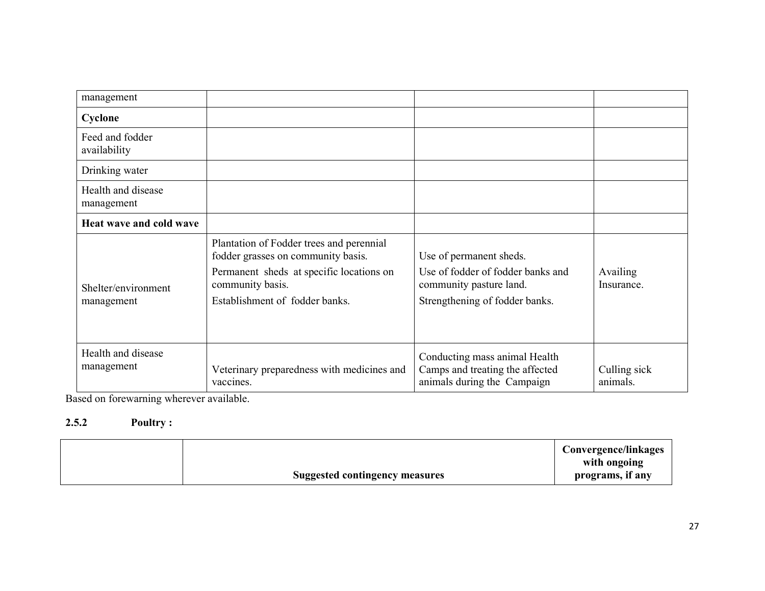| management                        |                                                                                                                                                                                  |                                                                                                                           |                          |
|-----------------------------------|----------------------------------------------------------------------------------------------------------------------------------------------------------------------------------|---------------------------------------------------------------------------------------------------------------------------|--------------------------|
| Cyclone                           |                                                                                                                                                                                  |                                                                                                                           |                          |
| Feed and fodder<br>availability   |                                                                                                                                                                                  |                                                                                                                           |                          |
| Drinking water                    |                                                                                                                                                                                  |                                                                                                                           |                          |
| Health and disease<br>management  |                                                                                                                                                                                  |                                                                                                                           |                          |
| Heat wave and cold wave           |                                                                                                                                                                                  |                                                                                                                           |                          |
| Shelter/environment<br>management | Plantation of Fodder trees and perennial<br>fodder grasses on community basis.<br>Permanent sheds at specific locations on<br>community basis.<br>Establishment of fodder banks. | Use of permanent sheds.<br>Use of fodder of fodder banks and<br>community pasture land.<br>Strengthening of fodder banks. | Availing<br>Insurance    |
| Health and disease<br>management  | Veterinary preparedness with medicines and<br>vaccines.                                                                                                                          | Conducting mass animal Health<br>Camps and treating the affected<br>animals during the Campaign                           | Culling sick<br>animals. |

Based on forewarning wherever available.

#### 2.5.2 Poultry :

|                                       | <b>Convergence/linkages</b> |
|---------------------------------------|-----------------------------|
|                                       | with ongoing                |
| <b>Suggested contingency measures</b> | programs, if any            |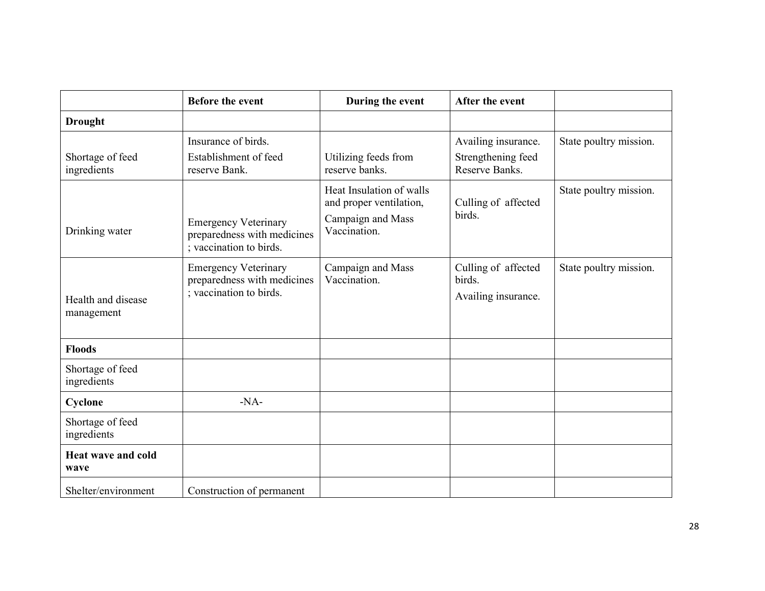|                                   | <b>Before the event</b>                                                               | During the event                                                                         | After the event                                             |                        |
|-----------------------------------|---------------------------------------------------------------------------------------|------------------------------------------------------------------------------------------|-------------------------------------------------------------|------------------------|
| <b>Drought</b>                    |                                                                                       |                                                                                          |                                                             |                        |
| Shortage of feed<br>ingredients   | Insurance of birds.<br>Establishment of feed<br>reserve Bank.                         | Utilizing feeds from<br>reserve banks.                                                   | Availing insurance.<br>Strengthening feed<br>Reserve Banks. | State poultry mission. |
| Drinking water                    | <b>Emergency Veterinary</b><br>preparedness with medicines<br>; vaccination to birds. | Heat Insulation of walls<br>and proper ventilation,<br>Campaign and Mass<br>Vaccination. | Culling of affected<br>birds.                               | State poultry mission. |
| Health and disease<br>management  | <b>Emergency Veterinary</b><br>preparedness with medicines<br>; vaccination to birds. | Campaign and Mass<br>Vaccination.                                                        | Culling of affected<br>birds.<br>Availing insurance.        | State poultry mission. |
| <b>Floods</b>                     |                                                                                       |                                                                                          |                                                             |                        |
| Shortage of feed<br>ingredients   |                                                                                       |                                                                                          |                                                             |                        |
| Cyclone                           | $-NA-$                                                                                |                                                                                          |                                                             |                        |
| Shortage of feed<br>ingredients   |                                                                                       |                                                                                          |                                                             |                        |
| <b>Heat wave and cold</b><br>wave |                                                                                       |                                                                                          |                                                             |                        |
| Shelter/environment               | Construction of permanent                                                             |                                                                                          |                                                             |                        |